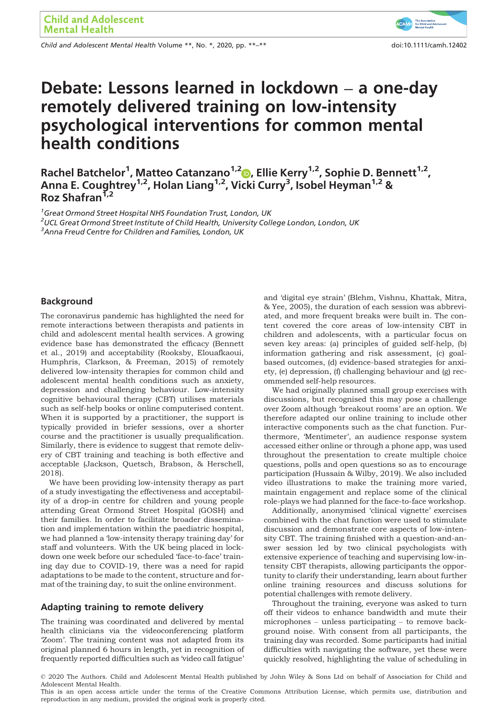Child and Adolescent Mental Health Volume \*\*, No. \*, 2020, pp. \*\*–\*\* doi:10.1111/camh.12402



# Debate: Lessons learned in lockdown – a one-day remotely delivered training on low-intensity psychological interventions for common mental health conditions

Rachel Batchelor<sup>1</sup>, Matteo Catanzano<sup>1,2</sup>D, Ellie Kerry<sup>1,2</sup>, Sophie D. Bennett<sup>1,2</sup>, Anna E. Coughtrey<sup>1,2</sup>, Holan Liang<sup>1,2</sup>, Vicki Curry<sup>3</sup>, Isobel Heyman<sup>1,2</sup> & Roz Shafran<sup>1,2</sup>

<sup>1</sup>Great Ormond Street Hospital NHS Foundation Trust, London, UK  $^2$ UCL Great Ormond Street Institute of Child Health, University College London, London, UK  ${}^{3}$ Anna Freud Centre for Children and Families, London, UK

#### Background

The coronavirus pandemic has highlighted the need for remote interactions between therapists and patients in child and adolescent mental health services. A growing evidence base has demonstrated the efficacy (Bennett et al., 2019) and acceptability (Rooksby, Elouafkaoui, Humphris, Clarkson, & Freeman, 2015) of remotely delivered low-intensity therapies for common child and adolescent mental health conditions such as anxiety, depression and challenging behaviour. Low-intensity cognitive behavioural therapy (CBT) utilises materials such as self-help books or online computerised content. When it is supported by a practitioner, the support is typically provided in briefer sessions, over a shorter course and the practitioner is usually prequalification. Similarly, there is evidence to suggest that remote delivery of CBT training and teaching is both effective and acceptable (Jackson, Quetsch, Brabson, & Herschell, 2018).

We have been providing low-intensity therapy as part of a study investigating the effectiveness and acceptability of a drop-in centre for children and young people attending Great Ormond Street Hospital (GOSH) and their families. In order to facilitate broader dissemination and implementation within the paediatric hospital, we had planned a 'low-intensity therapy training day' for staff and volunteers. With the UK being placed in lockdown one week before our scheduled 'face-to-face' training day due to COVID-19, there was a need for rapid adaptations to be made to the content, structure and format of the training day, to suit the online environment.

#### Adapting training to remote delivery

The training was coordinated and delivered by mental health clinicians via the videoconferencing platform 'Zoom'. The training content was not adapted from its original planned 6 hours in length, yet in recognition of frequently reported difficulties such as 'video call fatigue' and 'digital eye strain' (Blehm, Vishnu, Khattak, Mitra, & Yee, 2005), the duration of each session was abbreviated, and more frequent breaks were built in. The content covered the core areas of low-intensity CBT in children and adolescents, with a particular focus on seven key areas: (a) principles of guided self-help, (b) information gathering and risk assessment, (c) goalbased outcomes, (d) evidence-based strategies for anxiety, (e) depression, (f) challenging behaviour and (g) recommended self-help resources.

We had originally planned small group exercises with discussions, but recognised this may pose a challenge over Zoom although 'breakout rooms' are an option. We therefore adapted our online training to include other interactive components such as the chat function. Furthermore, 'Mentimeter', an audience response system accessed either online or through a phone app, was used throughout the presentation to create multiple choice questions, polls and open questions so as to encourage participation (Hussain & Wilby, 2019). We also included video illustrations to make the training more varied, maintain engagement and replace some of the clinical role-plays we had planned for the face-to-face workshop.

Additionally, anonymised 'clinical vignette' exercises combined with the chat function were used to stimulate discussion and demonstrate core aspects of low-intensity CBT. The training finished with a question-and-answer session led by two clinical psychologists with extensive experience of teaching and supervising low-intensity CBT therapists, allowing participants the opportunity to clarify their understanding, learn about further online training resources and discuss solutions for potential challenges with remote delivery.

Throughout the training, everyone was asked to turn off their videos to enhance bandwidth and mute their microphones – unless participating – to remove background noise. With consent from all participants, the training day was recorded. Some participants had initial difficulties with navigating the software, yet these were quickly resolved, highlighting the value of scheduling in

<sup>©</sup> 2020 The Authors. Child and Adolescent Mental Health published by John Wiley & Sons Ltd on behalf of Association for Child and Adolescent Mental Health.

This is an open access article under the terms of the [Creative Commons Attribution](http://creativecommons.org/licenses/by/4.0/) License, which permits use, distribution and reproduction in any medium, provided the original work is properly cited.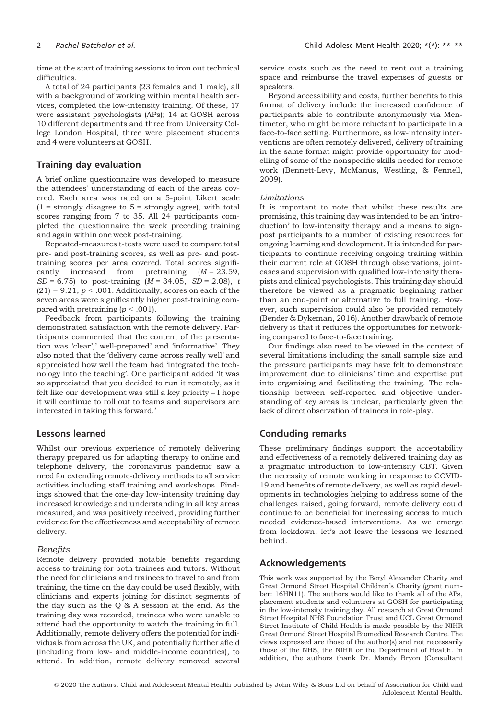time at the start of training sessions to iron out technical difficulties.

A total of 24 participants (23 females and 1 male), all with a background of working within mental health services, completed the low-intensity training. Of these, 17 were assistant psychologists (APs); 14 at GOSH across 10 different departments and three from University College London Hospital, three were placement students and 4 were volunteers at GOSH.

# Training day evaluation

A brief online questionnaire was developed to measure the attendees' understanding of each of the areas covered. Each area was rated on a 5-point Likert scale  $(1 =$  strongly disagree to  $5 =$  strongly agree), with total scores ranging from 7 to 35. All 24 participants completed the questionnaire the week preceding training and again within one week post-training.

Repeated-measures t-tests were used to compare total pre- and post-training scores, as well as pre- and posttraining scores per area covered. Total scores significantly increased from pretraining  $(M = 23.59)$ ,  $SD = 6.75$ ) to post-training ( $M = 34.05$ ,  $SD = 2.08$ ), t  $(21) = 9.21$ ,  $p < .001$ . Additionally, scores on each of the seven areas were significantly higher post-training compared with pretraining  $(p < .001)$ .

Feedback from participants following the training demonstrated satisfaction with the remote delivery. Participants commented that the content of the presentation was 'clear',' well-prepared' and 'informative'. They also noted that the 'delivery came across really well' and appreciated how well the team had 'integrated the technology into the teaching'. One participant added 'It was so appreciated that you decided to run it remotely, as it felt like our development was still a key priority – I hope it will continue to roll out to teams and supervisors are interested in taking this forward.'

# Lessons learned

Whilst our previous experience of remotely delivering therapy prepared us for adapting therapy to online and telephone delivery, the coronavirus pandemic saw a need for extending remote-delivery methods to all service activities including staff training and workshops. Findings showed that the one-day low-intensity training day increased knowledge and understanding in all key areas measured, and was positively received, providing further evidence for the effectiveness and acceptability of remote delivery.

#### Benefits

Remote delivery provided notable benefits regarding access to training for both trainees and tutors. Without the need for clinicians and trainees to travel to and from training, the time on the day could be used flexibly, with clinicians and experts joining for distinct segments of the day such as the Q & A session at the end. As the training day was recorded, trainees who were unable to attend had the opportunity to watch the training in full. Additionally, remote delivery offers the potential for individuals from across the UK, and potentially further afield (including from low- and middle-income countries), to attend. In addition, remote delivery removed several

service costs such as the need to rent out a training space and reimburse the travel expenses of guests or speakers.

Beyond accessibility and costs, further benefits to this format of delivery include the increased confidence of participants able to contribute anonymously via Mentimeter, who might be more reluctant to participate in a face-to-face setting. Furthermore, as low-intensity interventions are often remotely delivered, delivery of training in the same format might provide opportunity for modelling of some of the nonspecific skills needed for remote work (Bennett-Levy, McManus, Westling, & Fennell, 2009).

#### **Limitations**

It is important to note that whilst these results are promising, this training day was intended to be an 'introduction' to low-intensity therapy and a means to signpost participants to a number of existing resources for ongoing learning and development. It is intended for participants to continue receiving ongoing training within their current role at GOSH through observations, jointcases and supervision with qualified low-intensity therapists and clinical psychologists. This training day should therefore be viewed as a pragmatic beginning rather than an end-point or alternative to full training. However, such supervision could also be provided remotely (Bender & Dykeman, 2016). Another drawback of remote delivery is that it reduces the opportunities for networking compared to face-to-face training.

Our findings also need to be viewed in the context of several limitations including the small sample size and the pressure participants may have felt to demonstrate improvement due to clinicians' time and expertise put into organising and facilitating the training. The relationship between self-reported and objective understanding of key areas is unclear, particularly given the lack of direct observation of trainees in role-play.

# Concluding remarks

These preliminary findings support the acceptability and effectiveness of a remotely delivered training day as a pragmatic introduction to low-intensity CBT. Given the necessity of remote working in response to COVID-19 and benefits of remote delivery, as well as rapid developments in technologies helping to address some of the challenges raised, going forward, remote delivery could continue to be beneficial for increasing access to much needed evidence-based interventions. As we emerge from lockdown, let's not leave the lessons we learned behind.

# Acknowledgements

This work was supported by the Beryl Alexander Charity and Great Ormond Street Hospital Children's Charity (grant number: 16HN11). The authors would like to thank all of the APs, placement students and volunteers at GOSH for participating in the low-intensity training day. All research at Great Ormond Street Hospital NHS Foundation Trust and UCL Great Ormond Street Institute of Child Health is made possible by the NIHR Great Ormond Street Hospital Biomedical Research Centre. The views expressed are those of the author(s) and not necessarily those of the NHS, the NIHR or the Department of Health. In addition, the authors thank Dr. Mandy Bryon (Consultant